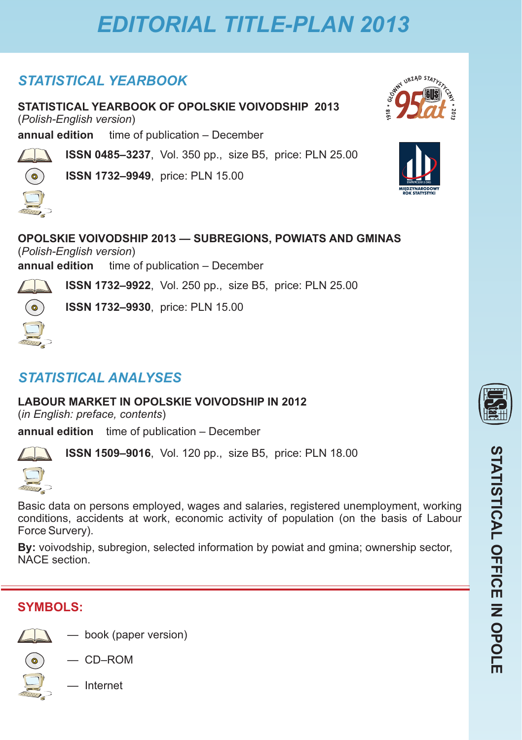## *STATISTICAL YEARBOOK*

**STATISTICAL YEARBOOK OF OPOLSKIE VOIVODSHIP 2013** (*Polish-English version*)

**annual edition** time of publication – December

**ISSN 0485–3237**, Vol. 350 pp., size B5, price: PLN 25.00

**ISSN 1732–9949**, price: PLN 15.00





**OPOLSKIE VOIVODSHIP 2013 — SUBREGIONS, POWIATS AND GMINAS** (*Polish-English version*) **annual edition** time of publication – December

**ISSN 1732–9922**, Vol. 250 pp., size B5, price: PLN 25.00

(  $\circ$ 

 $\bullet$ 

**ISSN 1732–9930**, price: PLN 15.00

# *STATISTICAL ANALYSES*

**LABOUR MARKET IN OPOLSKIE VOIVODSHIP IN 2012**

(*in English: preface, contents*)

**annual edition** time of publication – December



**ISSN 1509–9016**, Vol. 120 pp., size B5, price: PLN 18.00



Basic data on persons employed, wages and salaries, registered unemployment, working conditions, accidents at work, economic activity of population (on the basis of Labour Force Survery).

**By:** voivodship, subregion, selected information by powiat and gmina; ownership sector, NACE section.

## **SYMBOLS:**



— book (paper version)



— CD–ROM



— Internet

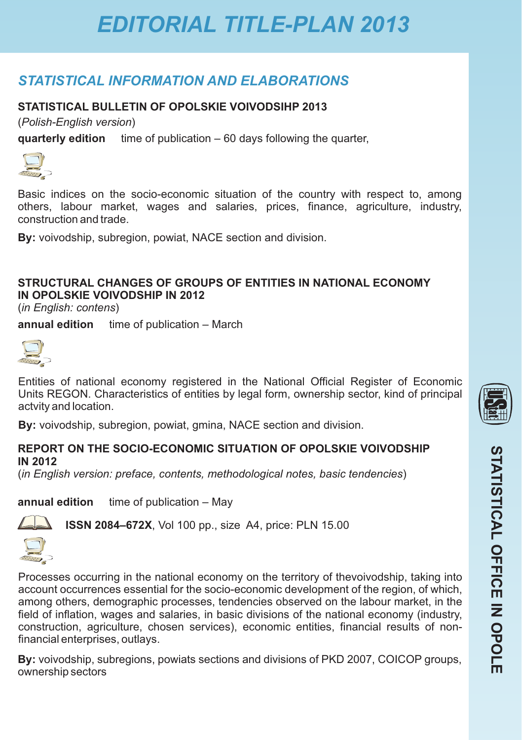## *STATISTICAL INFORMATION AND ELABORATIONS*

### STATISTICAL BULLETIN OF OPOLSKIE VOIVODSIHP 2013

(*Polish-English version*)

**quarterly edition** time of publication – 60 days following the quarter,



Basic indices on the socio-economic situation of the country with respect to, among others, labour market, wages and salaries, prices, finance, agriculture, industry, construction and trade.

**By:** voivodship, subregion, powiat, NACE section and division.

### **STRUCTURAL CHANGES OF GROUPS OF ENTITIES IN NATIONAL ECONOMY IN OPOLSKIE VOIVODSHIP IN 2012**

(*in English: contens*)

**annual edition** time of publication – March



Entities of national economy registered in the National Official Register of Economic Units REGON. Characteristics of entities by legal form, ownership sector, kind of principal actvity and location.

**By:** voivodship, subregion, powiat, gmina, NACE section and division.

#### **REPORT ON THE SOCIO-ECONOMIC SITUATION OF OPOLSKIE VOIVODSHIP IN 2012**

(*in English version: preface, contents, methodological notes, basic tendencies*)

**annual edition** time of publication – May

financial enterprises, outlays.



**ISSN 2084–672X**, Vol 100 pp., size A4, price: PLN 15.00





Processes occurring in the national economy on the territory of thevoivodship, taking into account occurrences essential for the socio-economic development of the region, of which, among others, demographic processes, tendencies observed on the labour market, in the field of inflation, wages and salaries, in basic divisions of the national economy (industry, construction, agriculture, chosen services), economic entities, financial results of non-

**By:** voivodship, subregions, powiats sections and divisions of PKD 2007, COICOP groups, ownership sectors

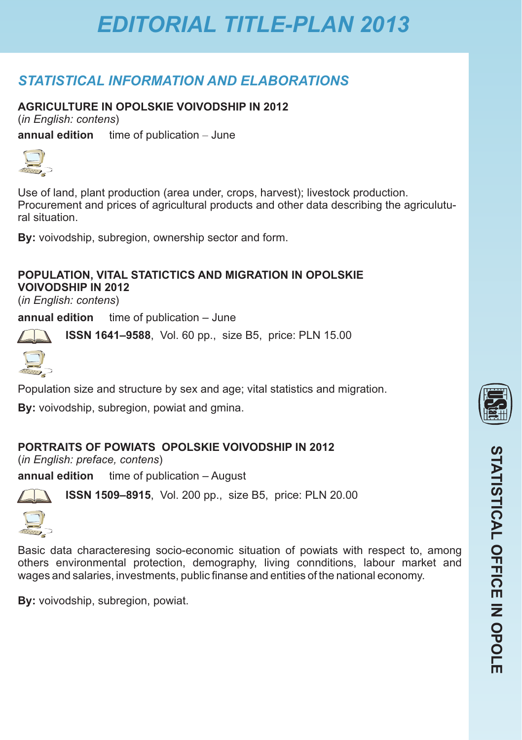## *STATISTICAL INFORMATION AND ELABORATIONS*

### **AGRICULTURE IN OPOLSKIE VOIVODSHIP IN 2012**

(*in English: contens*)

**annual edition** time of publication – June



Use of land, plant production (area under, crops, harvest); livestock production. Procurement and prices of agricultural products and other data describing the agriculutural situation.

**By:** voivodship, subregion, ownership sector and form.

#### **POPULATION, VITAL STATICTICS AND MIGRATION IN OPOLSKIE VOIVODSHIP IN 2012**

(*in English: contens*)

**annual edition** time of publication – June

**ISSN 1641–9588**, Vol. 60 pp., size B5, price: PLN 15.00



Population size and structure by sex and age; vital statistics and migration.

**By:** voivodship, subregion, powiat and gmina.

### **PORTRAITS OF POWIATS OPOLSKIE VOIVODSHIP IN 2012**

(*in English: preface, contens*)

**annual edition** time of publication – August



**ISSN 1509–8915**, Vol. 200 pp., size B5, price: PLN 20.00



Basic data characteresing socio-economic situation of powiats with respect to, among others environmental protection, demography, living connditions, labour market and wages and salaries, investments, public finanse and entities of the national economy.

**By:** voivodship, subregion, powiat.

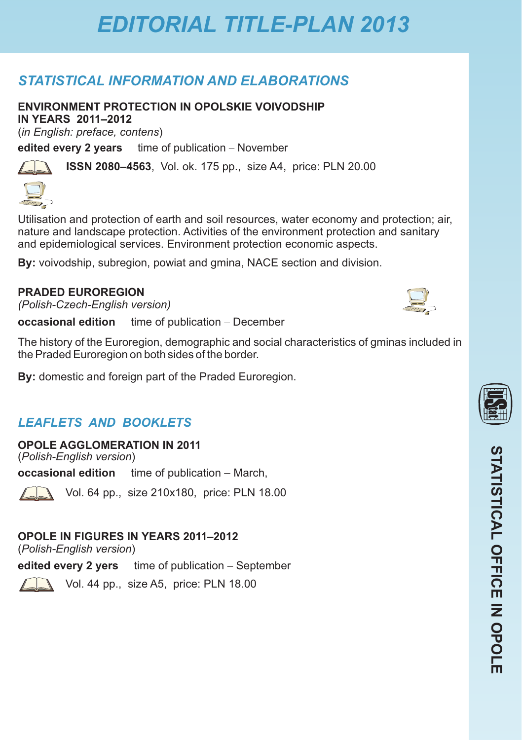## *STATISTICAL INFORMATION AND ELABORATIONS*

**ENVIRONMENT PROTECTION IN OPOLSKIE VOIVODSHIP** 

**IN YEARS 2011 2012 –** (*in English: preface, contens*)

**edited every 2 years** time of publication – November

**ISSN 2080–4563**, Vol. ok. 175 pp., size A4, price: PLN 20.00

Utilisation and protection of earth and soil resources, water economy and protection; air, nature and landscape protection. Activities of the environment protection and sanitary and epidemiological services. Environment protection economic aspects.

**By:** voivodship, subregion, powiat and gmina, NACE section and division.

### **PRADED EUROREGION**

*(Polish-Czech-English version)*

**occasional edition** time of publication – December

The history of the Euroregion, demographic and social characteristics of gminas included in the Praded Euroregion on both sides of the border.

**By:** domestic and foreign part of the Praded Euroregion.

## *LEAFLETS AND BOOKLETS*

**OPOLE AGGLOMERATION IN 2011** (*Polish-English version*)

**occasional edition** time of publication – March,

Vol. 64 pp., size 210x180, price: PLN 18.00

## **OPOLE IN FIGURES IN YEARS 2011–2012**

(*Polish-English version*)

**edited every 2 yers** time of publication – September



Vol. 44 pp., size A5, price: PLN 18.00



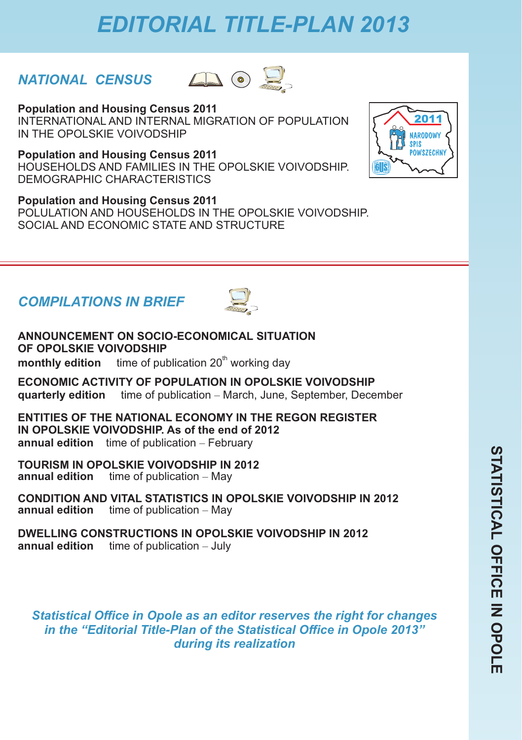## *NATIONAL CENSUS*



**Population and Housing Census 2011**  INTERNATIONAL AND INTERNAL MIGRATION OF POPULATION IN THE OPOLSKIE VOIVODSHIP

**Population and Housing Census 2011**  HOUSEHOLDS AND FAMILIES IN THE OPOLSKIE VOIVODSHIP. DEMOGRAPHIC CHARACTERISTICS

**Population and Housing Census 2011**  POLULATION AND HOUSEHOLDS IN THE OPOLSKIE VOIVODSHIP. SOCIAL AND ECONOMIC STATE AND STRUCTURE

# *COMPILATIONS IN BRIEF*



**ANNOUNCEMENT ON SOCIO-ECONOMICAL SITUATION OF OPOLSKIE VOIVODSHIP**

**monthly edition** time of publication 20<sup>th</sup> working day

**ECONOMIC ACTIVITY OF POPULATION IN OPOLSKIE VOIVODSHIP quarterly edition** time of publication – March, June, September, December

**ENTITIES OF THE NATIONAL ECONOMY IN THE REGON REGISTER IN OPOLSKIE VOIVODSHIP. As of the end of 2012 annual edition** time of publication – February

**TOURISM IN OPOLSKIE VOIVODSHIP IN 2012** time of publication – May

**CONDITION AND VITAL STATISTICS IN OPOLSKIE VOIVODSHIP IN 2012 annual edition** time of publication – May

**DWELLING CONSTRUCTIONS IN OPOLSKIE VOIVODSHIP IN 2012 annual edition** time of publication – July

*Statistical Office in Opole as an editor reserves the right for changes in the "Editorial Title-Plan of the Statistical Office in Opole 2013" during its realization*